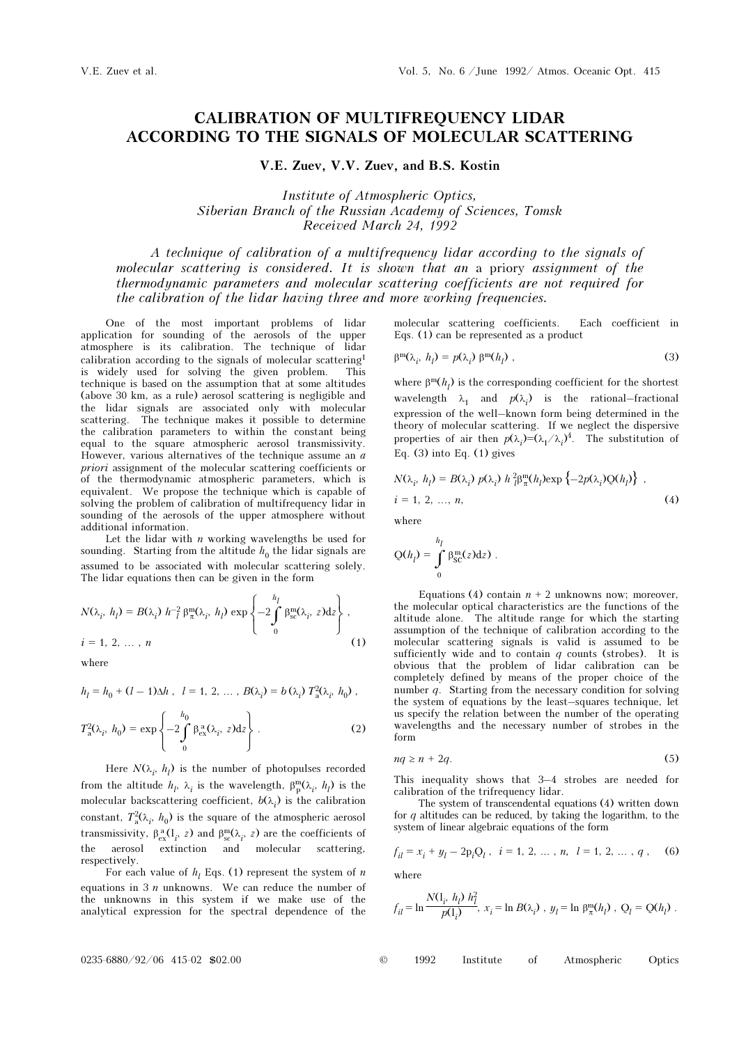## CALIBRATION OF MULTIFREQUENCY LIDAR ACCORDING TO THE SIGNALS OF MOLECULAR SCATTERING

V.E. Zuev, V.V. Zuev, and B.S. Kostin

Institute of Atmospheric Optics, Siberian Branch of the Russian Academy of Sciences, Tomsk Received March 24, 1992

A technique of calibration of a multifrequency lidar according to the signals of molecular scattering is considered. It is shown that an a priory assignment of the thermodynamic parameters and molecular scattering coefficients are not required for the calibration of the lidar having three and more working frequencies.

One of the most important problems of lidar application for sounding of the aerosols of the upper atmosphere is its calibration. The technique of lidar calibration according to the signals of molecular scattering<sup>1</sup> is widely used for solving the given problem. This technique is based on the assumption that at some altitudes (above 30 km, as a rule) aerosol scattering is negligible and the lidar signals are associated only with molecular scattering. The technique makes it possible to determine the calibration parameters to within the constant being equal to the square atmospheric aerosol transmissivity. However, various alternatives of the technique assume an  $a$ priori assignment of the molecular scattering coefficients or of the thermodynamic atmospheric parameters, which is equivalent. We propose the technique which is capable of solving the problem of calibration of multifrequency lidar in sounding of the aerosols of the upper atmosphere without additional information.

Let the lidar with  $n$  working wavelengths be used for sounding. Starting from the altitude  $h_0$  the lidar signals are assumed to be associated with molecular scattering solely. The lidar equations then can be given in the form

$$
N(\lambda_i, h_l) = B(\lambda_i) h_l^{-2} \beta_{\pi}^m(\lambda_i, h_l) \exp \left\{-2 \int_0^{h_l} \beta_{\rm sc}^m(\lambda_i, z) dz \right\},
$$
  

$$
i = 1, 2, ..., n
$$
 (1)

where

$$
h_l = h_0 + (l - 1)\Delta h
$$
,  $l = 1, 2, ..., B(\lambda_i) = b(\lambda_i) T_a^2(\lambda_i, h_0)$ ,

$$
T_a^2(\lambda_i, h_0) = \exp\left\{-2\int\limits_0^{h_0} \beta_{\rm ex}^{\rm a}(\lambda_i, z)dz\right\}.
$$
 (2)

Here  $N(\lambda_i, h_i)$  is the number of photopulses recorded from the altitude  $h_l$ ,  $\lambda_i$  is the wavelength,  $\beta_p^m(\lambda_i, h_l)$  is the molecular backscattering coefficient,  $b(\lambda_i)$  is the calibration constant,  $T_a^2(\lambda_i, h_0)$  is the square of the atmospheric aerosol transmissivity,  $\beta_{ex}^{\text{a}}(l_i, z)$  and  $\beta_{sc}^{\text{m}}(\lambda_i, z)$  are the coefficients of the aerosol extinction and molecular scattering, respectively.

For each value of  $h_l$  Eqs. (1) represent the system of  $n$ equations in  $3\ n$  unknowns. We can reduce the number of the unknowns in this system if we make use of the analytical expression for the spectral dependence of the molecular scattering coefficients. Each coefficient in Eqs. (1) can be represented as a product

$$
\beta^m(\lambda_i, h_l) = p(\lambda_i) \beta^m(h_l) , \qquad (3)
$$

where  $\beta^{\rm m}(h_{l})$  is the corresponding coefficient for the shortest wavelength  $\lambda_1$  and  $p(\lambda_i)$  is the rational–fractional expression of the well–known form being determined in the theory of molecular scattering. If we neglect the dispersive properties of air then  $p(\lambda_i)=(\lambda_1/\lambda_i)^4$ . The substitution of Eq. (3) into Eq. (1) gives

$$
N(\lambda_i, h_l) = B(\lambda_i) p(\lambda_i) h_l^2 \beta_{\pi}^m(h_l) \exp \{-2p(\lambda_i)Q(h_l)\},
$$
  
\n $i = 1, 2, ..., n,$  (4)

where

$$
Q(h_l) = \int_0^{h_l} \beta_{\rm SC}^{\rm m}(z) \mathrm{d} z).
$$

Equations (4) contain  $n + 2$  unknowns now; moreover, the molecular optical characteristics are the functions of the altitude alone. The altitude range for which the starting assumption of the technique of calibration according to the molecular scattering signals is valid is assumed to be sufficiently wide and to contain  $q$  counts (strobes). It is obvious that the problem of lidar calibration can be completely defined by means of the proper choice of the number q. Starting from the necessary condition for solving the system of equations by the least–squares technique, let us specify the relation between the number of the operating wavelengths and the necessary number of strobes in the form

$$
nq \ge n + 2q. \tag{5}
$$

This inequality shows that 3–4 strobes are needed for calibration of the trifrequency lidar.

The system of transcendental equations (4) written down for  $q$  altitudes can be reduced, by taking the logarithm, to the system of linear algebraic equations of the form

$$
f_{il} = x_i + y_l - 2p_iQ_l, \ \ i = 1, 2, \dots, n, \ \ l = 1, 2, \dots, q \ , \tag{6}
$$

where

$$
f_{il}=\ln\frac{N(\textbf{1}_i,\ h_l)\ h_l^2}{p(\textbf{1}_i)},\ x_i=\ln B(\lambda_i)\ ,\ y_l=\ln\ \beta_\pi^{\text{m}}(h_l)\ ,\ \textbf{Q}_l=\textbf{Q}(h_l)\ .
$$